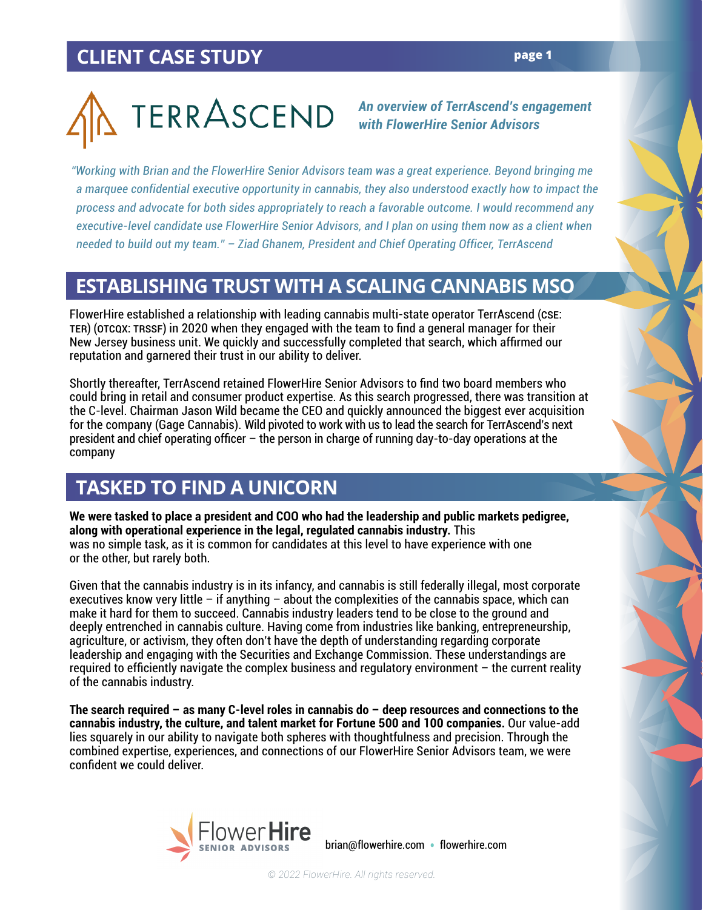*An overview of TerrAscend's engagement with FlowerHire Senior Advisors*

*"Working with Brian and the FlowerHire Senior Advisors team was a great experience. Beyond bringing me a marquee confidential executive opportunity in cannabis, they also understood exactly how to impact the process and advocate for both sides appropriately to reach a favorable outcome. I would recommend any executive-level candidate use FlowerHire Senior Advisors, and I plan on using them now as a client when needed to build out my team." – Ziad Ghanem, President and Chief Operating Officer, TerrAscend*

#### **ESTABLISHING TRUST WITH A SCALING CANNABIS MSO**

FlowerHire established a relationship with leading cannabis multi-state operator TerrAscend (CSE: TER) (OTCQX: TRSSF) in 2020 when they engaged with the team to find a general manager for their New Jersey business unit. We quickly and successfully completed that search, which affirmed our reputation and garnered their trust in our ability to deliver.

Shortly thereafter, TerrAscend retained FlowerHire Senior Advisors to find two board members who could bring in retail and consumer product expertise. As this search progressed, there was transition at the C-level. Chairman Jason Wild became the CEO and quickly announced the biggest ever acquisition for the company (Gage Cannabis). Wild pivoted to work with us to lead the search for TerrAscend's next president and chief operating officer – the person in charge of running day-to-day operations at the company

### **TASKED TO FIND A UNICORN**

**We were tasked to place a president and COO who had the leadership and public markets pedigree, along with operational experience in the legal, regulated cannabis industry.** This was no simple task, as it is common for candidates at this level to have experience with one or the other, but rarely both.

Given that the cannabis industry is in its infancy, and cannabis is still federally illegal, most corporate executives know very little – if anything – about the complexities of the cannabis space, which can make it hard for them to succeed. Cannabis industry leaders tend to be close to the ground and deeply entrenched in cannabis culture. Having come from industries like banking, entrepreneurship, agriculture, or activism, they often don't have the depth of understanding regarding corporate leadership and engaging with the Securities and Exchange Commission. These understandings are required to efficiently navigate the complex business and regulatory environment – the current reality of the cannabis industry.

**The search required – as many C-level roles in cannabis do – deep resources and connections to the cannabis industry, the culture, and talent market for Fortune 500 and 100 companies.** Our value-add lies squarely in our ability to navigate both spheres with thoughtfulness and precision. Through the combined expertise, experiences, and connections of our FlowerHire Senior Advisors team, we were confident we could deliver.

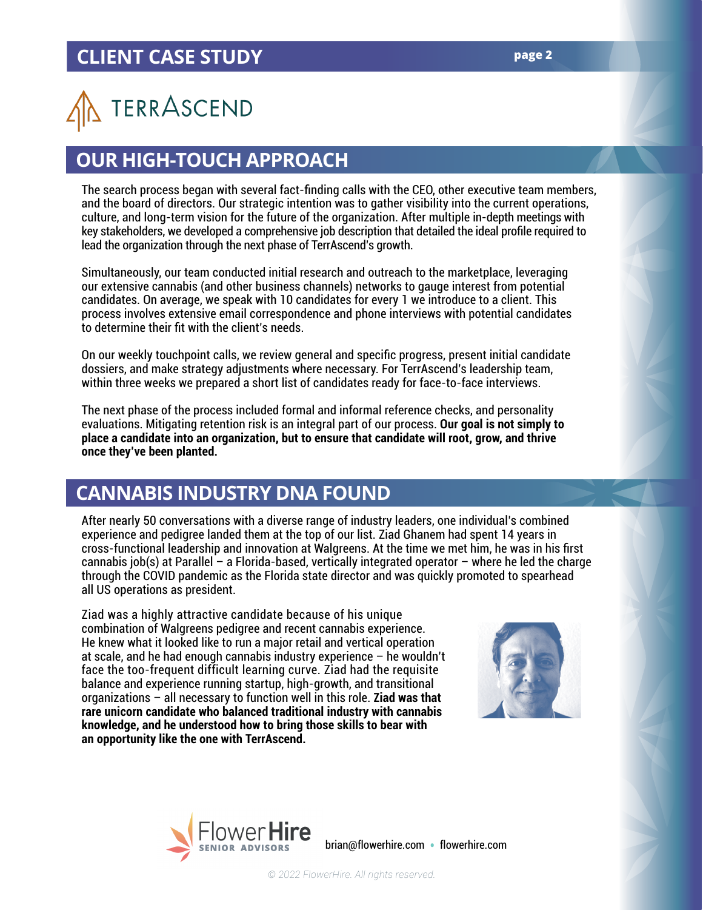# TERRASCEND

#### **OUR HIGH-TOUCH APPROACH**

The search process began with several fact-finding calls with the CEO, other executive team members, and the board of directors. Our strategic intention was to gather visibility into the current operations, culture, and long-term vision for the future of the organization. After multiple in-depth meetings with key stakeholders, we developed a comprehensive job description that detailed the ideal profile required to lead the organization through the next phase of TerrAscend's growth.

Simultaneously, our team conducted initial research and outreach to the marketplace, leveraging our extensive cannabis (and other business channels) networks to gauge interest from potential candidates. On average, we speak with 10 candidates for every 1 we introduce to a client. This process involves extensive email correspondence and phone interviews with potential candidates to determine their fit with the client's needs.

On our weekly touchpoint calls, we review general and specific progress, present initial candidate dossiers, and make strategy adjustments where necessary. For TerrAscend's leadership team, within three weeks we prepared a short list of candidates ready for face-to-face interviews.

The next phase of the process included formal and informal reference checks, and personality evaluations. Mitigating retention risk is an integral part of our process. **Our goal is not simply to place a candidate into an organization, but to ensure that candidate will root, grow, and thrive once they've been planted.**

#### **CANNABIS INDUSTRY DNA FOUND**

After nearly 50 conversations with a diverse range of industry leaders, one individual's combined experience and pedigree landed them at the top of our list. Ziad Ghanem had spent 14 years in cross-functional leadership and innovation at Walgreens. At the time we met him, he was in his first cannabis job(s) at Parallel – a Florida-based, vertically integrated operator – where he led the charge through the COVID pandemic as the Florida state director and was quickly promoted to spearhead all US operations as president.

Ziad was a highly attractive candidate because of his unique combination of Walgreens pedigree and recent cannabis experience. He knew what it looked like to run a major retail and vertical operation at scale, and he had enough cannabis industry experience – he wouldn't face the too-frequent difficult learning curve. Ziad had the requisite balance and experience running startup, high-growth, and transitional organizations – all necessary to function well in this role. **Ziad was that rare unicorn candidate who balanced traditional industry with cannabis knowledge, and he understood how to bring those skills to bear with an opportunity like the one with TerrAscend.**